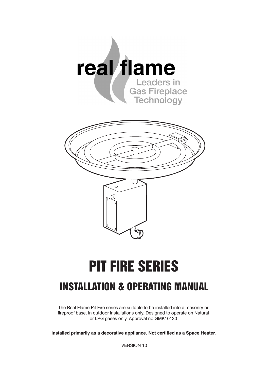

# **PIT FIRE SERIES**

# **INSTALLATION & OPERATING MANUAL**

The Real Flame Pit Fire series are suitable to be installed into a masonry or fireproof base, in outdoor installations only. Designed to operate on Natural or LPG gases only. Approval no.GMK10130

**Installed primarily as a decorative appliance. Not certified as a Space Heater.**

VERSION 10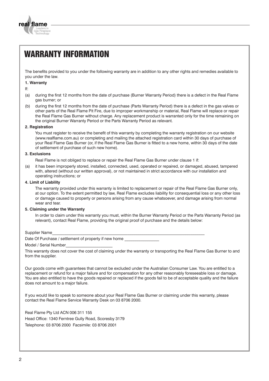

# **WARRANTY INFORMATION**

The benefits provided to you under the following warranty are in addition to any other rights and remedies available to you under the law.

#### **1. Warranty**

If:

- (a) during the first 12 months from the date of purchase (Burner Warranty Period) there is a defect in the Real Flame gas burner; or
- (b) during the first 12 months from the date of purchase (Parts Warranty Period) there is a defect in the gas valves or other parts of the Real Flame Pit Fire, due to improper workmanship or material, Real Flame will replace or repair the Real Flame Gas Burner without charge. Any replacement product is warranted only for the time remaining on the original Burner Warranty Period or the Parts Warranty Period as relevant.

#### **2. Registration**

You must register to receive the benefit of this warranty by completing the warranty registration on our website (www.realflame.com.au) or completing and mailing the attached registration card within 30 days of purchase of your Real Flame Gas Burner (or, if the Real Flame Gas Burner is fitted to a new home, within 30 days of the date of settlement of purchase of such new home).

#### **3. Exclusions**

Real Flame is not obliged to replace or repair the Real Flame Gas Burner under clause 1 if:

(a) it has been improperly stored, installed, connected, used, operated or repaired, or damaged, abused, tampered with, altered (without our written approval), or not maintained in strict accordance with our installation and operating instructions; or

#### **4. Limit of Liability**

The warranty provided under this warranty is limited to replacement or repair of the Real Flame Gas Burner only, at our option. To the extent permitted by law, Real Flame excludes liability for consequential loss or any other loss or damage caused to property or persons arising from any cause whatsoever, and damage arising from normal wear and tear.

#### **5. Claiming under the Warranty**

In order to claim under this warranty you must, within the Burner Warranty Period or the Parts Warranty Period (as relevant), contact Real Flame, providing the original proof of purchase and the details below:

Supplier Name

Date Of Purchase / settlement of property if new home

Model / Serial Number

This warranty does not cover the cost of claiming under the warranty or transporting the Real Flame Gas Burner to and from the supplier.

Our goods come with guarantees that cannot be excluded under the Australian Consumer Law. You are entitled to a replacement or refund for a major failure and for compensation for any other reasonably foreseeable loss or damage. You are also entitled to have the goods repaired or replaced if the goods fail to be of acceptable quality and the failure does not amount to a major failure.

If you would like to speak to someone about your Real Flame Gas Burner or claiming under this warranty, please contact the Real Flame Service Warranty Desk on 03 8706 2000.

Real Flame Pty Ltd ACN 006 311 155

Head Office: 1340 Ferntree Gully Road, Scoresby 3179 Telephone: 03 8706 2000 Facsimile: 03 8706 2001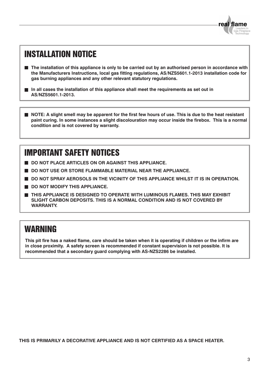

# **INSTALLATION NOTICE**

- **The installation of this appliance is only to be carried out by an authorised person in accordance with the Manufacturers Instructions, local gas fitting regulations, AS/NZS5601.1-2013 installation code for gas burning appliances and any other relevant statutory regulations.**
- **In all cases the installation of this appliance shall meet the requirements as set out in AS/NZS5601.1-2013.**

**NOTE: A slight smell may be apparent for the first few hours of use. This is due to the heat resistant paint curing. In some instances a slight discolouration may occur inside the firebox. This is a normal condition and is not covered by warranty.**

# **IMPORTANT SAFETY NOTICES**

- **DO NOT PLACE ARTICLES ON OR AGAINST THIS APPLIANCE.**
- **DO NOT USE OR STORE FLAMMABLE MATERIAL NEAR THE APPLIANCE.**
- **DO NOT SPRAY AEROSOLS IN THE VICINITY OF THIS APPLIANCE WHILST IT IS IN OPERATION.**
- **DO NOT MODIFY THIS APPLIANCE.**
- **THIS APPLIANCE IS DESIGNED TO OPERATE WITH LUMINOUS FLAMES. THIS MAY EXHIBIT SLIGHT CARBON DEPOSITS. THIS IS A NORMAL CONDITION AND IS NOT COVERED BY WARRANTY.**

### **WARNING**

**This pit fire has a naked flame, care should be taken when it is operating if children or the infirm are in close proximity. A safety screen is recommended if constant supervision is not possible. It is recommended that a secondary guard complying with AS-NZS2286 be installed.**

**THIS IS PRIMARILY A DECORATIVE APPLIANCE AND IS NOT CERTIFIED AS A SPACE HEATER.**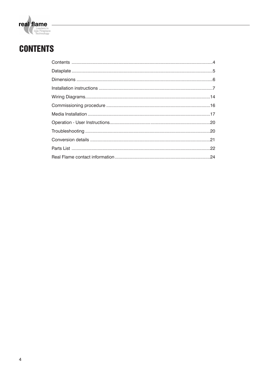

# **CONTENTS**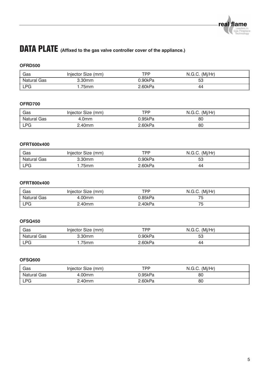# **DATA PLATE (Affixed to the gas valve controller cover of the appliance.)**

### **OFRD500**

| Gas         | Injector Size (mm) | TPP.    | N.G.C. (Mj/Hr) |
|-------------|--------------------|---------|----------------|
| Natural Gas | 3.30mm             | 0.90kPa | 53             |
| <b>LPG</b>  | 75 <sub>mm</sub>   | 2.60kPa | 44             |

### **OFRD700**

| Gas         | Injector Size (mm) | TPP     | N.G.C. (Mi/Hr) |  |
|-------------|--------------------|---------|----------------|--|
| Natural Gas | .0mm               | ን.95kPa | 80             |  |
| <b>LPG</b>  | .40mm              | 2.60kPa | 80             |  |

### **OFRT600x400**

| Gas         | Injector Size (mm) | TPP     | N.G.C. (Mi/Hr) |  |
|-------------|--------------------|---------|----------------|--|
| Natural Gas | 3.30 <sub>mm</sub> | 0.90kPa | 53             |  |
| <b>LPG</b>  | 75mm               | 2.60kPa | 44             |  |

### **OFRT800x400**

| Gas         | Injector Size (mm) | TPP     | N.G.C. (Mi/Hr) |  |
|-------------|--------------------|---------|----------------|--|
| Natural Gas | 00mm               | ን 85kPa |                |  |
| <b>LPG</b>  | <u> ?.40mm </u>    | 2.40kPa | J              |  |

### **OFSQ450**

| Gas         | Injector Size (mm) | TPP     | N.G.C. (Mi/Hr) |  |
|-------------|--------------------|---------|----------------|--|
| Natural Gas | 3.30mm             | 0.90kPa | 53             |  |
| <b>LPG</b>  | 75 <sub>mm</sub>   | 2.60kPa | 44             |  |

#### **OFSQ600**

| Gas         | Injector Size (mm) | <b>TPP</b> | N.G.C. (Mi/Hr) |  |
|-------------|--------------------|------------|----------------|--|
| Natural Gas | 4.00mm             | 0.95kPa    | 80             |  |
| <b>LPG</b>  | .40mm              | 2.60kPa    | 80             |  |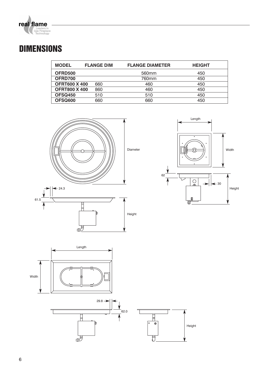

# **DIMENSIONS**

| <b>MODEL</b>         | <b>FLANGE DIM</b> | <b>FLANGE DIAMETER</b> | <b>HEIGHT</b> |
|----------------------|-------------------|------------------------|---------------|
| OFRD500              |                   | 560 <sub>mm</sub>      | 450           |
| OFRD700              |                   | 760mm                  | 450           |
| <b>OFRT600 X 400</b> | 660               | 460                    | 450           |
| <b>OFRT800 X 400</b> | 860               | 460                    | 450           |
| OFSQ450              | 510               | 510                    | 450           |
| OFSQ600              | 660               | 660                    | 450           |



显

显





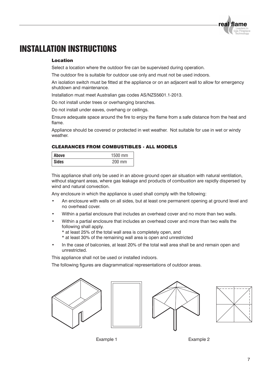# **INSTALLATION INSTRUCTIONS**

#### Location

Select a location where the outdoor fire can be supervised during operation.

The outdoor fire is suitable for outdoor use only and must not be used indoors.

An isolation switch must be fitted at the appliance or on an adjacent wall to allow for emergency shutdown and maintenance.

Installation must meet Australian gas codes AS/NZS5601.1-2013.

Do not install under trees or overhanging branches.

Do not install under eaves, overhang or ceilings.

Ensure adequate space around the fire to enjoy the flame from a safe distance from the heat and flame.

Appliance should be covered or protected in wet weather. Not suitable for use in wet or windy weather.

### CLEARANCES FROM COMBUSTIBLES - ALL MODELS

| Above        | 1500 mm  |
|--------------|----------|
| <b>Sides</b> | $200$ mm |

This appliance shall only be used in an above ground open air situation with natural ventilation, without stagnant areas, where gas leakage and products of combustion are rapidly dispersed by wind and natural convection.

Any enclosure in which the appliance is used shall comply with the following:

- An enclosure with walls on all sides, but at least one permanent opening at ground level and no overhead cover.
- Within a partial enclosure that includes an overhead cover and no more than two walls.
- Within a partial enclosure that includes an overhead cover and more than two walls the following shall apply.
	- \* at least 25% of the total wall area is completely open, and
	- \* at least 30% of the remaining wall area is open and unrestricted
- In the case of balconies, at least 20% of the total wall area shall be and remain open and unrestricted.

This appliance shall not be used or installed indoors.

The following figures are diagrammatical representations of outdoor areas.









Example 1 Example 2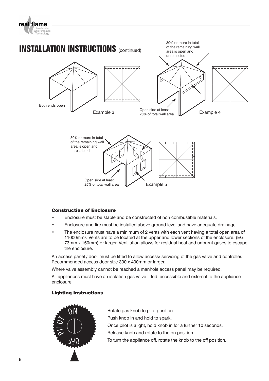



### Construction of Enclosure

- Enclosure must be stable and be constructed of non combustible materials.
- Enclosure and fire must be installed above ground level and have adequate drainage.
- The enclosure must have a minimum of 2 vents with each vent having a total open area of 11000mm2. Vents are to be located at the upper and lower sections of the enclosure. (EG 73mm x 150mm) or larger. Ventilation allows for residual heat and unburnt gases to escape the enclosure.

An access panel / door must be fitted to allow access/ servicing of the gas valve and controller. Recommended access door size 300 x 400mm or larger.

Where valve assembly cannot be reached a manhole access panel may be required.

All appliances must have an isolation gas valve fitted, accessible and external to the appliance enclosure.

### Lighting Instructions



Rotate gas knob to pilot position. Push knob in and hold to spark. Once pilot is alight, hold knob in for a further 10 seconds. Release knob and rotate to the on position. To turn the appliance off, rotate the knob to the off position.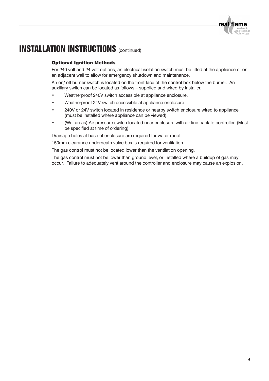### Optional Ignition Methods

For 240 volt and 24 volt options, an electrical isolation switch must be fitted at the appliance or on an adjacent wall to allow for emergency shutdown and maintenance.

An on/ off burner switch is located on the front face of the control box below the burner. An auxiliary switch can be located as follows – supplied and wired by installer.

- Weatherproof 240V switch accessible at appliance enclosure.
- Weatherproof 24V switch accessible at appliance enclosure.
- 240V or 24V switch located in residence or nearby switch enclosure wired to appliance (must be installed where appliance can be viewed).
- (Wet areas) Air pressure switch located near enclosure with air line back to controller. (Must be specified at time of ordering)

Drainage holes at base of enclosure are required for water runoff.

150mm clearance underneath valve box is required for ventilation.

The gas control must not be located lower than the ventilation opening.

The gas control must not be lower than ground level, or installed where a buildup of gas may occur. Failure to adequately vent around the controller and enclosure may cause an explosion.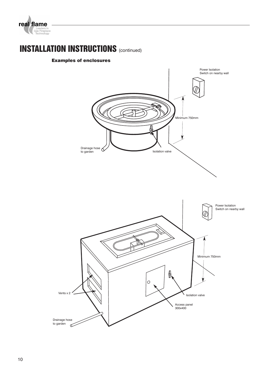

### Examples of enclosures

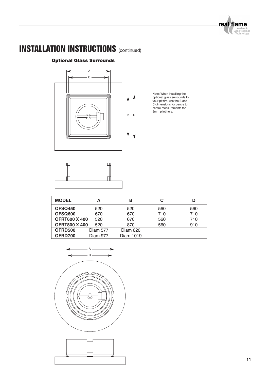real flame Leaders in<br>Gas Fireplace<br>Technology

# **INSTALLATION INSTRUCTIONS** (continued)

### Optional Glass Surrounds



Note: When installing the<br>optional glass surrounds to<br>your pit fire, use the B and<br>C dimensions for centre to<br>centre measurements for<br>5mm pilot hole.



| <b>MODEL</b>         | Α               | в         |     | D   |
|----------------------|-----------------|-----------|-----|-----|
| OFSQ450              | 520             | 520       | 560 | 560 |
| OFSQ600              | 670             | 670       | 710 | 710 |
| <b>OFRT600 X 400</b> | 520             | 670       | 560 | 710 |
| <b>OFRT800 X 400</b> | 520             | 870       | 560 | 910 |
| OFRD500              | <b>Diam 577</b> | Diam 620  |     |     |
| OFRD700              | <b>Diam 977</b> | Diam 1019 |     |     |



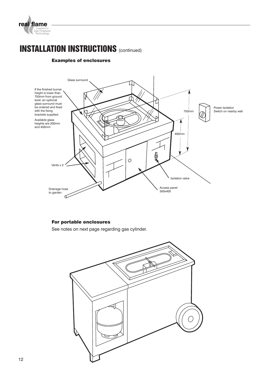

### Examples of enclosures



### For portable enclosures

See notes on next page regarding gas cylinder.

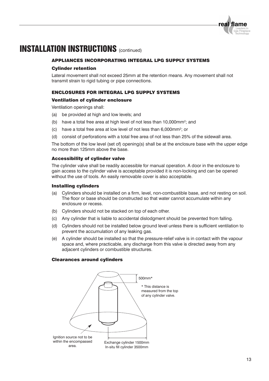

### APPLIANCES INCORPORATING INTEGRAL LPG SUPPLY SYSTEMS

#### Cylinder retention

Lateral movement shall not exceed 25mm at the retention means. Any movement shall not transmit strain to rigid tubing or pipe connections.

### ENCLOSURES FOR INTEGRAL LPG SUPPLY SYSTEMS

#### Ventilation of cylinder enclosure

Ventilation openings shall:

- (a) be provided at high and low levels; and
- (b) have a total free area at high level of not less than 10,000mm2; and
- (c) have a total free area at low level of not less than 6,000mm2; or
- (d) consist of perforations with a total free area of not less than 25% of the sidewall area.

The bottom of the low level (set of) opening(s) shall be at the enclosure base with the upper edge no more than 125mm above the base.

#### Accessibility of cylinder valve

The cylinder valve shall be readily accessible for manual operation. A door in the enclosure to gain access to the cylinder valve is acceptable provided it is non-locking and can be opened without the use of tools. An easily removable cover is also acceptable.

#### Installing cylinders

- (a) Cylinders should be installed on a firm, level, non-combustible base, and not resting on soil. The floor or base should be constructed so that water cannot accumulate within any enclosure or recess.
- (b) Cylinders should not be stacked on top of each other.
- (c) Any cylinder that is liable to accidental dislodgment should be prevented from falling.
- (d) Cylinders should not be installed below ground level unless there is sufficient ventilation to prevent the accumulation of any leaking gas.
- (e) A cylinder should be installed so that the pressure-relief valve is in contact with the vapour space and, where practicable, any discharge from this valve is directed away from any adjacent cylinders or combustible structures.

#### Clearances around cylinders

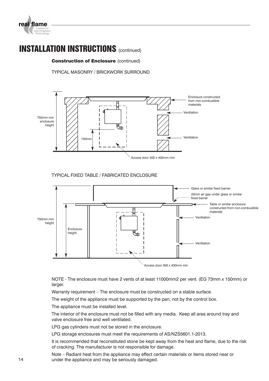

#### **Construction of Enclosure (continued)**

TYPICAL MASONRY / BRICKWORK SURROUND



TYPICAL FIXED TABLE / FABRICATED ENCLOSURE



NOTE - The enclosure must have 2 vents of at least 11000mm2 per vent. (EG 73mm x 150mm) or larger.

Warranty requirement – The enclosure must be constructed on a stable surface.

The weight of the appliance must be supported by the pan, not by the control box.

The appliance must be installed level.

The interior of the enclosure must not be filled with any media. Keep all area around tray and valve enclosure free and well ventilated.

LPG gas cylinders must not be stored in the enclosure.

LPG storage enclosures must meet the requirements of AS/NZS5601.1-2013.

It is recommended that reconstituted stone be kept away from the heat and flame, due to the risk of cracking. The manufacturer is not responsible for damage.

Note – Radiant heat from the appliance may effect certain materials or items stored near or 14 under the appliance and may be seriously damaged.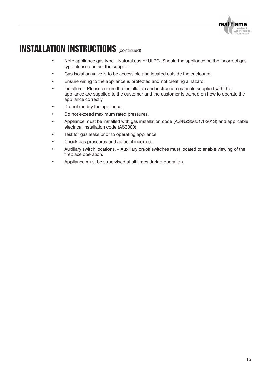- Note appliance gas type Natural gas or ULPG. Should the appliance be the incorrect gas type please contact the supplier.
- Gas isolation valve is to be accessible and located outside the enclosure.
- Ensure wiring to the appliance is protected and not creating a hazard.
- Installers Please ensure the installation and instruction manuals supplied with this appliance are supplied to the customer and the customer is trained on how to operate the appliance correctly.
- Do not modify the appliance.
- Do not exceed maximum rated pressures.
- Appliance must be installed with gas installation code (AS/NZS5601.1-2013) and applicable electrical installation code (AS3000).
- Test for gas leaks prior to operating appliance.
- Check gas pressures and adjust if incorrect.
- Auxiliary switch locations. Auxiliary on/off switches must located to enable viewing of the fireplace operation.
- Appliance must be supervised at all times during operation.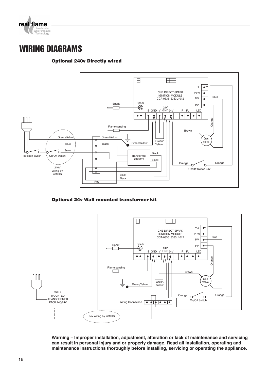

### **WIRING DIAGRAMS**

### Optional 240v Directly wired



Optional 24v Wall mounted transformer kit



**Warning – Improper installation, adjustment, alteration or lack of maintenance and servicing can result in personal injury and or property damage. Read all installation, operating and maintenance instructions thoroughly before installing, servicing or operating the appliance.**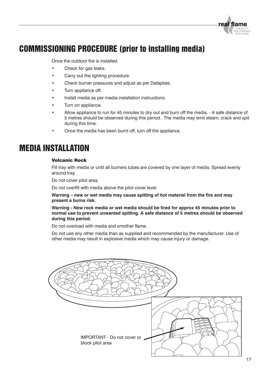

# **COMMISSIONING PROCEDURE (prior to installing media)**

Once the outdoor fire is installed.

- Check for gas leaks.
- Carry out the lighting procedure.
- Check burner pressures and adjust as per Dataplate.
- Turn appliance off.
- Install media as per media installation instructions.
- Turn on appliance.
- Allow appliance to run for 45 minutes to dry out and burn off the media. A safe distance of 5 metres should be observed during this period. The media may emit steam, crack and spit during this time.
- Once the media has been burnt off, turn off the appliance.

### **MEDIA INSTALLATION**

#### Volcanic Rock

Fill tray with media or until all burners tubes are covered by one layer of media. Spread evenly around tray.

Do not cover pilot area.

Do not overfill with media above the pilot cover level.

**Warning – new or wet media may cause spitting of hot material from the fire and may present a burns risk.**

**Warning - New rock media or wet media should be fired for approx 45 minutes prior to normal use to prevent unwanted spitting. A safe distance of 5 metres should be observed during this period.**

Do not overload with media and smother flame.

Do not use any other media than as supplied and recommended by the manufacturer. Use of other media may result in explosive media which may cause injury or damage.

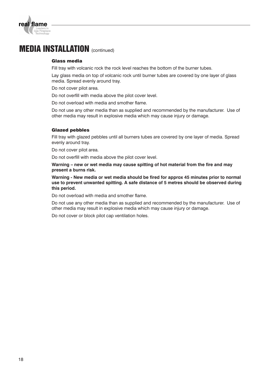

### **MEDIA INSTALLATION** (continued)

#### Glass media

Fill tray with volcanic rock the rock level reaches the bottom of the burner tubes.

Lay glass media on top of volcanic rock until burner tubes are covered by one layer of glass media. Spread evenly around tray.

Do not cover pilot area.

Do not overfill with media above the pilot cover level.

Do not overload with media and smother flame.

Do not use any other media than as supplied and recommended by the manufacturer. Use of other media may result in explosive media which may cause injury or damage.

#### Glazed pebbles

Fill tray with glazed pebbles until all burners tubes are covered by one layer of media. Spread evenly around tray.

Do not cover pilot area.

Do not overfill with media above the pilot cover level.

**Warning – new or wet media may cause spitting of hot material from the fire and may present a burns risk.**

**Warning - New media or wet media should be fired for approx 45 minutes prior to normal use to prevent unwanted spitting. A safe distance of 5 metres should be observed during this period.**

Do not overload with media and smother flame.

Do not use any other media than as supplied and recommended by the manufacturer. Use of other media may result in explosive media which may cause injury or damage.

Do not cover or block pilot cap ventilation holes.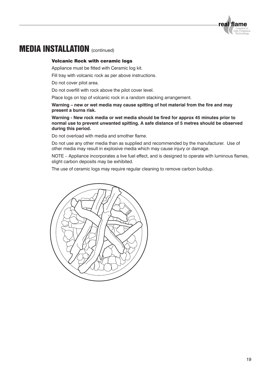

### **MEDIA INSTALLATION** (continued)

#### Volcanic Rock with ceramic logs

Appliance must be fitted with Ceramic log kit.

Fill tray with volcanic rock as per above instructions.

Do not cover pilot area.

Do not overfill with rock above the pilot cover level.

Place logs on top of volcanic rock in a random stacking arrangement.

**Warning – new or wet media may cause spitting of hot material from the fire and may present a burns risk.**

**Warning - New rock media or wet media should be fired for approx 45 minutes prior to normal use to prevent unwanted spitting. A safe distance of 5 metres should be observed during this period.**

Do not overload with media and smother flame.

Do not use any other media than as supplied and recommended by the manufacturer. Use of other media may result in explosive media which may cause injury or damage.

NOTE – Appliance incorporates a live fuel effect, and is designed to operate with luminous flames, slight carbon deposits may be exhibited.

The use of ceramic logs may require regular cleaning to remove carbon buildup.

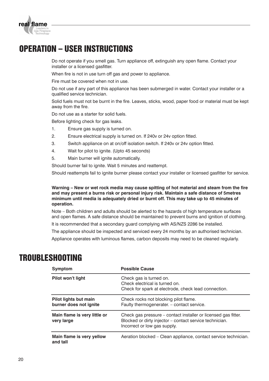

# **OPERATION – USER INSTRUCTIONS**

Do not operate if you smell gas. Turn appliance off, extinguish any open flame. Contact your installer or a licensed gasfitter.

When fire is not in use turn off gas and power to appliance.

Fire must be covered when not in use.

Do not use if any part of this appliance has been submerged in water. Contact your installer or a qualified service technician.

Solid fuels must not be burnt in the fire. Leaves, sticks, wood, paper food or material must be kept away from the fire.

Do not use as a starter for solid fuels.

Before lighting check for gas leaks.

- 1. Ensure gas supply is turned on.
- 2. Ensure electrical supply is turned on. If 240v or 24v option fitted.
- 3. Switch appliance on at on/off isolation switch. If 240v or 24v option fitted.
- 4. Wait for pilot to ignite. (Upto 45 seconds)
- 5. Main burner will ignite automatically.

Should burner fail to ignite. Wait 5 minutes and reattempt.

Should reattempts fail to ignite burner please contact your installer or licensed gasfitter for service.

**Warning – New or wet rock media may cause spitting of hot material and steam from the fire and may present a burns risk or personal injury risk. Maintain a safe distance of 5metres minimum until media is adequately dried or burnt off. This may take up to 45 minutes of operation.**

Note – Both children and adults should be alerted to the hazards of high temperature surfaces and open flames. A safe distance should be maintained to prevent burns and ignition of clothing.

It is recommended that a secondary guard complying with AS/NZS 2286 be installed.

The appliance should be inspected and serviced every 24 months by an authorised technician.

Appliance operates with luminous flames, carbon deposits may need to be cleaned regularly.

### **TROUBLESHOOTING**

| Symptom                                         | <b>Possible Cause</b>                                                                                                                                     |
|-------------------------------------------------|-----------------------------------------------------------------------------------------------------------------------------------------------------------|
| Pilot won't light                               | Check gas is turned on.<br>Check electrical is turned on.<br>Check for spark at electrode, check lead connection.                                         |
| Pilot lights but main<br>burner does not ignite | Check rocks not blocking pilot flame.<br>Faulty thermogenerater. - contact service.                                                                       |
| Main flame is very little or<br>very large      | Check gas pressure – contact installer or licensed gas fitter.<br>Blocked or dirty injector - contact service technician.<br>Incorrect or low gas supply. |
| Main flame is very yellow<br>and tall           | Aeration blocked – Clean appliance, contact service technician.                                                                                           |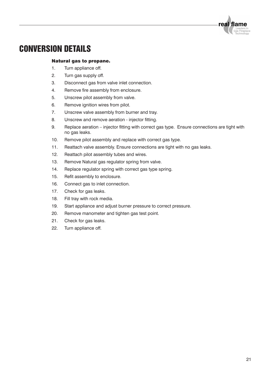

### **CONVERSION DETAILS**

#### Natural gas to propane.

- 1. Turn appliance off.
- 2. Turn gas supply off.
- 3. Disconnect gas from valve inlet connection.
- 4. Remove fire assembly from enclosure.
- 5. Unscrew pilot assembly from valve.
- 6. Remove ignition wires from pilot.
- 7. Unscrew valve assembly from burner and tray.
- 8. Unscrew and remove aeration injector fitting.
- 9. Replace aeration injector fitting with correct gas type. Ensure connections are tight with no gas leaks.
- 10. Remove pilot assembly and replace with correct gas type.
- 11. Reattach valve assembly. Ensure connections are tight with no gas leaks.
- 12. Reattach pilot assembly tubes and wires.
- 13. Remove Natural gas regulator spring from valve.
- 14. Replace regulator spring with correct gas type spring.
- 15. Refit assembly to enclosure.
- 16. Connect gas to inlet connection.
- 17. Check for gas leaks.
- 18. Fill tray with rock media.
- 19. Start appliance and adjust burner pressure to correct pressure.
- 20. Remove manometer and tighten gas test point.
- 21. Check for gas leaks.
- 22. Turn appliance off.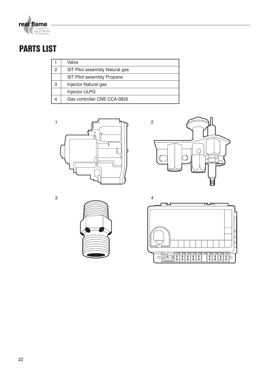

# **PARTS LIST**

|   | Valve                          |
|---|--------------------------------|
| 2 | SIT Pilot assembly Natural gas |
|   | SIT Pilot assembly Propane     |
| 3 | Injector Natural gas           |
|   | Injector ULPG                  |
|   | Gas controller CNE CCA-0835    |





3